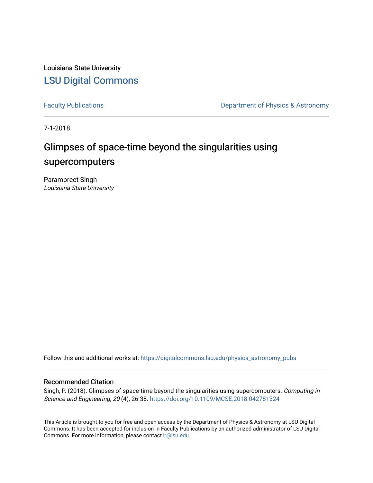Louisiana State University [LSU Digital Commons](https://digitalcommons.lsu.edu/)

[Faculty Publications](https://digitalcommons.lsu.edu/physics_astronomy_pubs) **Exercise 2** Constant Department of Physics & Astronomy

7-1-2018

## Glimpses of space-time beyond the singularities using supercomputers

Parampreet Singh Louisiana State University

Follow this and additional works at: [https://digitalcommons.lsu.edu/physics\\_astronomy\\_pubs](https://digitalcommons.lsu.edu/physics_astronomy_pubs?utm_source=digitalcommons.lsu.edu%2Fphysics_astronomy_pubs%2F5036&utm_medium=PDF&utm_campaign=PDFCoverPages) 

## Recommended Citation

Singh, P. (2018). Glimpses of space-time beyond the singularities using supercomputers. Computing in Science and Engineering, 20 (4), 26-38.<https://doi.org/10.1109/MCSE.2018.042781324>

This Article is brought to you for free and open access by the Department of Physics & Astronomy at LSU Digital Commons. It has been accepted for inclusion in Faculty Publications by an authorized administrator of LSU Digital Commons. For more information, please contact [ir@lsu.edu](mailto:ir@lsu.edu).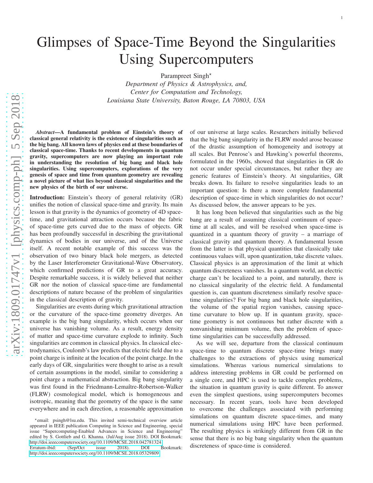Parampreet Singh\* *Department of Physics & Astrophysics, and, Center for Computation and Technology, Louisiana State University, Baton Rouge, LA 70803, USA*

*Abstract*—A fundamental problem of Einstein's theory of classical general relativity is the existence of singularities such as the big bang. All known laws of physics end at these boundaries of classical space-time. Thanks to recent developments in quantum gravity, supercomputers are now playing an important role in understanding the resolution of big bang and black hole singularities. Using supercomputers, explorations of the very genesis of space and time from quantum geometry are revealing a novel picture of what lies beyond classical singularities and the new physics of the birth of our universe.

Introduction: Einstein's theory of general relativity (GR) unifies the notion of classical space-time and gravity. Its main lesson is that gravity is the dynamics of geometry of 4D spacetime, and gravitational attraction occurs because the fabric of space-time gets curved due to the mass of objects. GR has been profoundly successful in describing the gravitational dynamics of bodies in our universe, and of the Universe itself. A recent notable example of this success was the observation of two binary black hole mergers, as detected by the Laser Interferometer Gravitational-Wave Observatory, which confirmed predictions of GR to a great accuracy. Despite remarkable success, it is widely believed that neither GR nor the notion of classical space-time are fundamental descriptions of nature because of the problem of singularities in the classical description of gravity.

Singularities are events during which gravitational attraction or the curvature of the space-time geometry diverges. An example is the big bang singularity, which occurs when our universe has vanishing volume. As a result, energy density of matter and space-time curvature explode to infinity. Such singularities are common in classical physics. In classical electrodynamics, Coulomb's law predicts that electric field due to a point charge is infinite at the location of the point charge. In the early days of GR, singularities were thought to arise as a result of certain assumptions in the model, similar to considering a point charge a mathematical abstraction. Big bang singularity was first found in the Friedmann-Lemaître-Robertson-Walker (FLRW) cosmological model, which is homogeneous and isotropic, meaning that the geometry of the space is the same everywhere and in each direction, a reasonable approximation

of our universe at large scales. Researchers initially believed that the big bang singularity in the FLRW model arose because of the drastic assumption of homogeneity and isotropy at all scales. But Penrose's and Hawking's powerful theorems, formulated in the 1960s, showed that singularities in GR do not occur under special circumstances, but rather they are generic features of Einstein's theory. At singularities, GR breaks down. Its failure to resolve singularities leads to an important question: Is there a more complete fundamental description of space-time in which singularities do not occur? As discussed below, the answer appears to be yes.

1

It has long been believed that singularities such as the big bang are a result of assuming classical continuum of spacetime at all scales, and will be resolved when space-time is quantized in a quantum theory of gravity – a marriage of classical gravity and quantum theory. A fundamental lesson from the latter is that physical quantities that classically take continuous values will, upon quantization, take discrete values. Classical physics is an approximation of the limit at which quantum discreteness vanishes. In a quantum world, an electric charge can't be localized to a point, and naturally, there is no classical singularity of the electric field. A fundamental question is, can quantum discreteness similarly resolve spacetime singularities? For big bang and black hole singularities, the volume of the spatial region vanishes, causing spacetime curvature to blow up. If in quantum gravity, spacetime geometry is not continuous but rather discrete with a nonvanishing minimum volume, then the problem of spacetime singularities can be successfully addressed.

As we will see, departure from the classical continuum space-time to quantum discrete space-time brings many challenges to the extractions of physics using numerical simulations. Whereas various numerical simulations to address interesting problems in GR could be performed on a single core, and HPC is used to tackle complex problems, the situation in quantum gravity is quite different. To answer even the simplest questions, using supercomputers becomes necessary. In recent years, tools have been developed to overcome the challenges associated with performing simulations on quantum discrete space-times, and many numerical simulations using HPC have been performed. The resulting physics is strikingly different from GR in the sense that there is no big bang singularity when the quantum discreteness of space-time is considered.

<sup>\*</sup>email: psingh@lsu.edu. This invited semi-technical overview article appeared in IEEE publication Computing in Science and Engineering, special issue "Supercomputing-Enabled Advances in Science and Engineering" edited by S. Gottlieb and G. Khanna. (Jul/Aug issue 2018). DOI Bookmark: [http://doi.ieeecomputersociety.org/10.1109/MCSE.2018.042781324.](http://doi.ieeecomputersociety.org/10.1109/MCSE.2018.042781324) Erratum-ibid: (Sep/Oct issue 2018). DOI Bookmark: <http://doi.ieeecomputersociety.org/10.1109/MCSE.2018.05329809>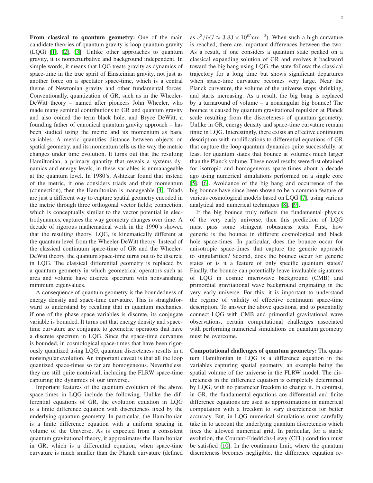From classical to quantum geometry: One of the main candidate theories of quantum gravity is loop quantum gravity (LQG) [\[1\]](#page-8-0), [\[2\]](#page-8-1), [\[3\]](#page-8-2). Unlike other approaches to quantum gravity, it is nonperturbative and background independent. In simple words, it means that LQG treats gravity as dynamics of space-time in the true spirit of Einsteinian gravity, not just as another force on a spectator space-time, which is a central theme of Newtonian gravity and other fundamental forces. Conventionally, quantization of GR, such as in the Wheeler-DeWitt theory – named after pioneers John Wheeler, who made many seminal contributions to GR and quantum gravity and also coined the term black hole, and Bryce DeWitt, a founding father of canonical quantum gravity approach – has been studied using the metric and its momentum as basic variables. A metric quantifies distance between objects on spatial geometry, and its momentum tells us the way the metric changes under time evolution. It turns out that the resulting Hamiltonian, a primary quantity that reveals a systems dynamics and energy levels, in these variables is unmanageable at the quantum level. In 1980's, Ashtekar found that instead of the metric, if one considers triads and their momentum (connection), then the Hamiltonian is manageable [\[4\]](#page-8-3). Triads are just a different way to capture spatial geometry encoded in the metric through three orthogonal vector fields; connection, which is conceptually similar to the vector potential in electrodynamics, captures the way geometry changes over time. A decade of rigorous mathematical work in the 1990's showed that the resulting theory, LQG, is kinematically different at the quantum level from the Wheeler-DeWitt theory. Instead of the classical continuum space-time of GR and the Wheeler-DeWitt theory, the quantum space-time turns out to be discrete in LQG. The classical differential geometry is replaced by a quantum geometry in which geometrical operators such as area and volume have discrete spectrum with nonvanishing minimum eigenvalues.

A consequence of quantum geometry is the boundedness of energy density and space-time curvature. This is straightforward to understand by recalling that in quantum mechanics, if one of the phase space variables is discrete, its conjugate variable is bounded. It turns out that energy density and spacetime curvature are conjugate to geometric operators that have a discrete spectrum in LQG. Since the space-time curvature is bounded, in cosmological space-times that have been rigorously quantized using LQG, quantum discreteness results in a nonsingular evolution. An important caveat is that all the loop quantized space-times so far are homogeneous. Nevertheless, they are still quite nontrivial, including the FLRW space-time capturing the dynamics of our universe.

Important features of the quantum evolution of the above space-times in LQG include the following. Unlike the differential equations of GR, the evolution equation in LQG is a finite difference equation with discreteness fixed by the underlying quantum geometry. In particular, the Hamiltonian is a finite difference equation with a uniform spacing in volume of the Universe. As is expected from a consistent quantum gravitational theory, it approximates the Hamiltonian in GR, which is a differential equation, when space-time curvature is much smaller than the Planck curvature (defined

as  $c^3/\hbar G \approx 3.83 \times 10^{65} \text{cm}^{-2}$ ). When such a high curvature is reached, there are important differences between the two. As a result, if one considers a quantum state peaked on a classical expanding solution of GR and evolves it backward toward the big bang using LQG, the state follows the classical trajectory for a long time but shows significant departures when space-time curvature becomes very large. Near the Planck curvature, the volume of the universe stops shrinking, and starts increasing. As a result, the big bang is replaced by a turnaround of volume – a nonsingular big bounce! The bounce is caused by quantum gravitational repulsion at Planck scale resulting from the discreteness of quantum geometry. Unlike in GR, energy density and space-time curvature remain finite in LQG. Interestingly, there exists an effective continuum description with modifications to differential equations of GR that capture the loop quantum dynamics quite successfully, at least for quantum states that bounce at volumes much larger than the Planck volume. These novel results were first obtained for isotropic and homogeneous space-times about a decade ago using numerical simulations performed on a single core [\[5\]](#page-8-4), [\[6\]](#page-8-5). Avoidance of the big bang and occurrence of the big bounce have since been shown to be a common feature of various cosmological models based on LQG [\[7\]](#page-8-6), using various analytical and numerical techniques [\[8\]](#page-8-7), [\[9\]](#page-8-8).

If the big bounce truly reflects the fundamental physics of the very early universe, then this prediction of LQG must pass some stringent robustness tests. First, how generic is the bounce in different cosmological and black hole space-times. In particular, does the bounce occur for anisotropic space-times that capture the generic approach to singularities? Second, does the bounce occur for generic states or is it a feature of only specific quantum states? Finally, the bounce can potentially leave invaluable signatures of LQG in cosmic microwave background (CMB) and primordial gravitational wave background originating in the very early universe. For this, it is important to understand the regime of validity of effective continuum space-time description. To answer the above questions, and to potentially connect LQG with CMB and primordial gravitational wave observations, certain computational challenges associated with performing numerical simulations on quantum geometry must be overcome.

Computational challenges of quantum geometry: The quantum Hamiltonian in LQG is a difference equation in the variables capturing spatial geometry, an example being the spatial volume of the universe in the FLRW model. The discreteness in the difference equation is completely determined by LQG, with no parameter freedom to change it. In contrast, in GR, the fundamental equations are differential and finite difference equations are used as approximations in numerical computation with a freedom to vary discreteness for better accuracy. But, in LQG numerical simulations must carefully take in to account the underlying quantum discreteness which fixes the allowed numerical grid. In particular, for a stable evolution, the Courant-Friedrichs-Lewy (CFL) condition must be satisfied [\[10\]](#page-8-9). In the continuum limit, where the quantum discreteness becomes negligible, the difference equation re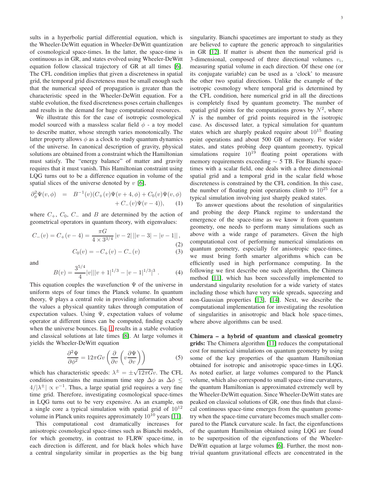sults in a hyperbolic partial differential equation, which is the Wheeler-DeWitt equation in Wheeler-DeWitt quantization of cosmological space-times. In the latter, the space-time is continuous as in GR, and states evolved using Wheeler-DeWitt equation follow classical trajectory of GR at all times [\[6\]](#page-8-5). The CFL condition implies that given a discreteness in spatial grid, the temporal grid discreteness must be small enough such that the numerical speed of propagation is greater than the characteristic speed in the Wheeler-DeWitt equation. For a stable evolution, the fixed discreteness poses certain challenges and results in the demand for huge computational resources.

We illustrate this for the case of isotropic cosmological model sourced with a massless scalar field  $\phi$  - a toy model to describe matter, whose strength varies monotonically. The latter property allows  $\phi$  as a clock to study quantum dynamics of the universe. In canonical description of gravity, physical solutions are obtained from a constraint which the Hamiltonian must satisfy. The "energy balance" of matter and gravity requires that it must vanish. This Hamiltonian constraint using LQG turns out to be a difference equation in volume of the spatial slices of the universe denoted by  $v$  [\[6\]](#page-8-5),

<span id="page-3-0"></span>
$$
\partial_{\phi}^{2} \Psi(v, \phi) = B^{-1}(v)(C_{+}(v)\Psi(v+4, \phi) + C_{0}(v)\Psi(v, \phi) + C_{-}(v)\Psi(v-4)), \quad (1)
$$

where  $C_+$ ,  $C_0$ ,  $C_-$  and B are determined by the action of geometrical operators in quantum theory, with eigenvalues:

$$
C_{-}(v) = C_{+}(v-4) = \frac{\pi G}{4 \times 3^{3/4}} |v-2| ||v-3| - |v-1||,
$$
\n(2)

 $5/4$ 

$$
C_0(v) = -C_+(v) - C_-(v) \tag{3}
$$

and

$$
B(v) = \frac{3^{5/4}}{4}|v|||v+1|^{1/3} - |v-1|^{1/3}|^3.
$$
 (4)

This equation couples the wavefunction  $\Psi$  of the universe in uniform steps of four times the Planck volume. In quantum theory,  $\Psi$  plays a central role in providing information about the values a physical quantity takes through computation of expectation values. Using  $\Psi$ , expectation values of volume operator at different times can be computed, finding exactly when the universe bounces. Eq. [1](#page-3-0) results in a stable evolution and classical solutions at late times [\[8\]](#page-8-7). At large volumes it yields the Wheeler-DeWitt equation

$$
\frac{\partial^2 \Psi}{\partial \phi^2} = 12\pi G v \left( \frac{\partial}{\partial v} \left( v \frac{\partial \Psi}{\partial v} \right) \right) \tag{5}
$$

which has characteristic speeds:  $\lambda^{\pm} = \pm \sqrt{12\pi G}v$ . The CFL condition constrains the maximum time step  $\Delta \phi$  as  $\Delta \phi$  <  $4/|\lambda^{\pm}| \propto v^{-1}$ . Thus, a large spatial grid requires a very fine time grid. Therefore, investigating cosmological space-times in LQG turns out to be very expensive. As an example, on a single core a typical simulation with spatial grid of  $10^{12}$ volume in Planck units requires approximately  $10^{10}$  years [\[11\]](#page-8-10).

This computational cost dramatically increases for anisotropic cosmological space-times such as Bianchi models, for which geometry, in contrast to FLRW space-time, in each direction is different, and for black holes which have a central singularity similar in properties as the big bang

singularity. Bianchi spacetimes are important to study as they are believed to capture the generic approach to singularities in GR [\[12\]](#page-8-11). If matter is absent then the numerical grid is 3-dimensional, composed of three directional volumes  $v_i$ , measuring spatial volume in each direction. Of these one (or its conjugate variable) can be used as a 'clock' to measure the other two spatial directions. Unlike the example of the isotropic cosmology where temporal grid is determined by the CFL condition, here numerical grid in all the directions is completely fixed by quantum geometry. The number of spatial grid points for the computations grows by  $N^2$ , where  $N$  is the number of grid points required in the isotropic case. As discussed later, a typical simulation for quantum states which are sharply peaked require about  $10^{15}$  floating point operations and about 500 GB of memory. For wider states, and states probing deep quantum geometry, typical simulations require  $10^{19}$  floating point operations with memory requirements exceeding ∼ 5 TB. For Bianchi spacetimes with a scalar field, one deals with a three dimensional spatial grid and a temporal grid in the scalar field whose discreteness is constrained by the CFL condition. In this case, the number of floating point operations climb to  $10^{25}$  for a typical simulation involving just sharply peaked states.

To answer questions about the resolution of singularities and probing the deep Planck regime to understand the emergence of the space-time as we know it from quantum geometry, one needs to perform many simulations such as above with a wide range of parameters. Given the high computational cost of performing numerical simulations on quantum geometry, especially for anisotropic space-times, we must bring forth smarter algorithms which can be efficiently used in high performance computing. In the following we first describe one such algorithm, the Chimera method [\[11\]](#page-8-10), which has been successfully implemented to understand singularity resolution for a wide variety of states including those which have very wide spreads, squeezing and non-Gaussian properties [\[13\]](#page-8-12), [\[14\]](#page-8-13). Next, we describe the computational implementation for investigating the resolution of singularities in anisotropic and black hole space-times, where above algorithms can be used.

Chimera – a hybrid of quantum and classical geometry grids: The Chimera algorithm [\[11\]](#page-8-10) reduces the computational cost for numerical simulations on quantum geometry by using some of the key properties of the quantum Hamiltonian obtained for isotropic and anisotropic space-times in LQG. As noted earlier, at large volumes compared to the Planck volume, which also correspond to small space-time curvatures, the quantum Hamiltonian is approximated extremely well by the Wheeler-DeWitt equation. Since Wheeler-DeWitt states are peaked on classical solutions of GR, one thus finds that classical continuous space-time emerges from the quantum geometry when the space-time curvature becomes much smaller compared to the Planck curvature scale. In fact, the eigenfunctions of the quantum Hamiltonian obtained using LQG are found to be superposition of the eigenfunctions of the Wheeler-DeWitt equation at large volumes [\[6\]](#page-8-5). Further, the most nontrivial quantum gravitational effects are concentrated in the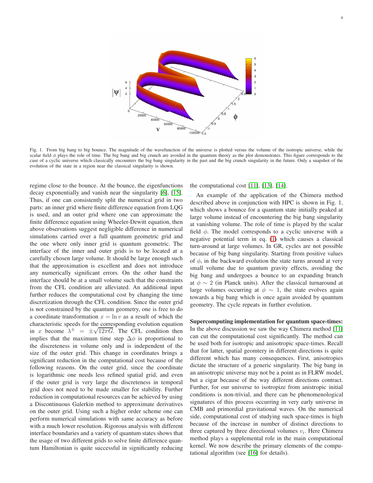4



Fig. 1. From big bang to big bounce. The magnitude of the wavefunction of the universe is plotted versus the volume of the isotropic universe, while the scalar field  $\phi$  plays the role of time. The big bang and big crunch are avoided in the quantum theory as the plot demonstrates. This figure corresponds to the case of a cyclic universe which classically encounters the big bang singularity in the past and the big crunch singularity in the future. Only a snapshot of the evolution of the state in a region near the classical singularity is shown.

regime close to the bounce. At the bounce, the eigenfunctions decay exponentially and vanish near the singularity [\[6\]](#page-8-5), [\[15\]](#page-8-14). Thus, if one can consistently split the numerical grid in two parts: an inner grid where finite difference equation from LQG is used, and an outer grid where one can approximate the finite difference equation using Wheeler-Dewitt equation, then above observations suggest negligible difference in numerical simulations carried over a full quantum geometric grid and the one where only inner grid is quantum geometric. The interface of the inner and outer grids is to be located at a carefully chosen large volume. It should be large enough such that the approximation is excellent and does not introduce any numerically significant errors. On the other hand the interface should be at a small volume such that the constraints from the CFL condition are alleviated. An additional input further reduces the computational cost by changing the time discretization through the CFL condition. Since the outer grid is not constrained by the quantum geometry, one is free to do a coordinate transformation  $x = \ln v$  as a result of which the characteristic speeds for the corresponding evolution equation in x become  $\lambda^{\pm} = \pm \sqrt{12\pi G}$ . The CFL condition then implies that the maximum time step  $\Delta \phi$  is proportional to the discreteness in volume only and is independent of the size of the outer grid. This change in coordinates brings a significant reduction in the computational cost because of the following reasons. On the outer grid, since the coordinate is logarithmic one needs less refined spatial grid, and even if the outer grid is very large the discreteness in temporal grid does not need to be made smaller for stability. Further reduction in computational resources can be achieved by using a Discontinuous Galerkin method to approximate derivatives on the outer grid. Using such a higher order scheme one can perform numerical simulations with same accuracy as before with a much lower resolution. Rigorous analysis with different interface boundaries and a variety of quantum states shows that the usage of two different grids to solve finite difference quantum Hamiltonian is quite successful in significantly reducing

the computational cost [\[11\]](#page-8-10), [\[13\]](#page-8-12), [\[14\]](#page-8-13).

An example of the application of the Chimera method described above in conjunction with HPC is shown in Fig. 1, which shows a bounce for a quantum state initially peaked at large volume instead of encountering the big bang singularity at vanishing volume. The role of time is played by the scalar field  $\phi$ . The model corresponds to a cyclic universe with a negative potential term in eq. [\(1\)](#page-3-0) which causes a classical turn-around at large volumes. In GR, cycles are not possible because of big bang singularity. Starting from positive values of  $\phi$ , in the backward evolution the state turns around at very small volume due to quantum gravity effects, avoiding the big bang and undergoes a bounce to an expanding branch at  $\phi \sim 2$  (in Planck units). After the classical turnaround at large volumes occurring at  $\phi \sim 1$ , the state evolves again towards a big bang which is once again avoided by quantum geometry. The cycle repeats in further evolution.

Supercomputing implementation for quantum space-times: In the above discussion we saw the way Chimera method [\[11\]](#page-8-10) can cut the computational cost significantly. The method can be used both for isotropic and anisotropic space-times. Recall that for latter, spatial geomtery in different directions is quite different which has many consequences. First, anisotropies dictate the structure of a generic singularity. The big bang in an anisotropic universe may not be a point as in FLRW model, but a cigar because of the way different directions contract. Further, for our universe to isotropize from anistropic initial conditions is non-trivial, and there can be phenomenological signatures of this process occurring in very early universe in CMB and primordial gravitational waves. On the numerical side, computational cost of studying such space-times is high because of the increase in number of distinct directions to three captured by three directional volumes  $v_i$ . Here Chimera method plays a supplemental role in the main computational kernel. We now describe the primary elements of the computational algorithm (see [\[16\]](#page-8-15) for details).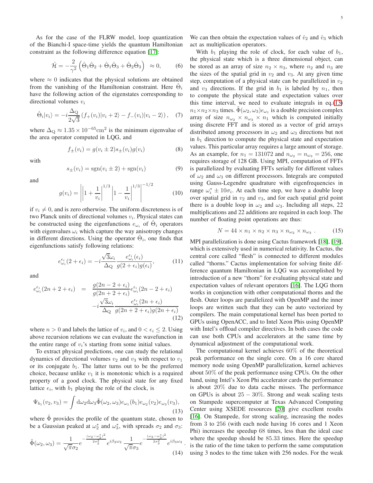As for the case of the FLRW model, loop quantization of the Bianchi-I space-time yields the quantum Hamiltonian constraint as the following difference equation [\[17\]](#page-8-16):

<span id="page-5-1"></span>
$$
\hat{\mathcal{H}} = -\frac{2}{\gamma^2} \left( \hat{\Theta}_1 \hat{\Theta}_2 + \hat{\Theta}_1 \hat{\Theta}_3 + \hat{\Theta}_2 \hat{\Theta}_3 \right) \approx 0, \quad (6)
$$

where  $\approx 0$  indicates that the physical solutions are obtained from the vanishing of the Hamiltonian constraint. Here  $\hat{\Theta}_i$ have the following action of the eigenstates corresponding to directional volumes  $v_i$ 

$$
\hat{\Theta}_i|v_i\rangle = -i\frac{\Delta_Q}{2\sqrt{3}}\left(f_+(v_i)|v_i+2\rangle - f_-(v_i)|v_i-2\rangle\right),\quad(7)
$$

where  $\Delta_{\text{Q}} \approx 1.35 \times 10^{-65} \text{cm}^2$  is the minimum eigenvalue of the area operator computed in LQG, and

$$
f_{\pm}(v_i) = g(v_i \pm 2)s_{\pm}(v_i)g(v_i)
$$
 (8)

with

$$
s_{\pm}(v_i) = sgn(v_i \pm 2) + sgn(v_i)
$$
 (9)

and

$$
g(v_i) = \left| \left| 1 + \frac{1}{v_i} \right|^{1/3} \left| 1 - \frac{1}{v_i} \right|^{1/3} \right|^{-1/2}
$$
 (10)

if  $v_i \neq 0$ , and is zero otherwise. The uniform discreteness is of two Planck units of directional volumes  $v_i$ . Physical states can be constructed using the eigenfunctions  $e_{\omega_i}$  of  $\hat{\Theta}_i$  operators with eigenvalues  $\omega_i$  which capture the way anisotropy changes in different directions. Using the operator  $\hat{\Theta}_i$ , one finds that eigenfunctions satisfy following relations:

$$
e_{\omega_i}^{\epsilon_i}(2+\epsilon_i) = -i\frac{\sqrt{3}\omega_i}{\Delta_{\mathcal{Q}}}\frac{e_{\omega_i}^{\epsilon_i}(\epsilon_i)}{g(2+\epsilon_i)g(\epsilon_i)},\tag{11}
$$

and

$$
e_{\omega_i}^{\epsilon_i}(2n+2+\epsilon_i) = \frac{g(2n-2+\epsilon_i)}{g(2n+2+\epsilon_i)}e_{\omega_i}^{\epsilon_i}(2n-2+\epsilon_i) -i\frac{\sqrt{3}\omega_i}{\Delta_Q}\frac{e_{\omega_i}^{\epsilon_i}(2n+\epsilon_i)}{g(2n+2+\epsilon_i)g(2n+\epsilon_i)}
$$
(12)

where  $n > 0$  and labels the lattice of  $v_i$ , and  $0 < \epsilon_i \leq 2$ . Using above recursion relations we can evaluate the wavefunction in the entire range of  $v_i$ 's starting from some initial values.

To extract physical predictions, one can study the relational dynamics of directional volumes  $v_2$  and  $v_3$  with respect to  $v_1$ or its conjugate  $b_1$ . The latter turns out to be the preferred choice, because unlike  $v_1$  it is monotonic which is a required property of a good clock. The physical state for any fixed lattice  $\epsilon_i$ , with  $b_1$  playing the role of the clock, is

<span id="page-5-0"></span>
$$
\Psi_{b_1}(v_2, v_3) = \int d\omega_2 d\omega_3 \tilde{\Phi}(\omega_2, \omega_3) e_{\omega_1}(b_1) e_{\omega_2}(v_2) e_{\omega_3}(v_3),
$$
\n(13)

where  $\tilde{\Phi}$  provides the profile of the quantum state, chosen to be a Gaussian peaked at  $\omega_2^*$  and  $\omega_3^*$ , with spreads  $\sigma_2$  and  $\sigma_3$ :

$$
\tilde{\Phi}(\omega_2, \omega_3) = \frac{1}{\sqrt{\pi}\sigma_2} e^{-\frac{(\omega_2 - \omega_2^*)^2}{2\sigma_2^2}} e^{i\beta_2\omega_2} \frac{1}{\sqrt{\pi}\sigma_3} e^{-\frac{(\omega_3 - \omega_3^*)^2}{2\sigma_3^2}} e^{i\beta_3\omega_3}
$$
\n(14)

.

We can then obtain the expectation values of  $\hat{v}_2$  and  $\hat{v}_3$  which act as multiplication operators.

With  $b_1$  playing the role of clock, for each value of  $b_1$ , the physical state which is a three dimensional object, can be stored as an array of size  $n_2 \times n_3$ , where  $n_2$  and  $n_3$  are the sizes of the spatial grid in  $v_2$  and  $v_3$ . At any given time step, computation of a physical state can be parallelized in  $v_2$ and  $v_3$  directions. If the grid in  $b_1$  is labeled by  $n_1$ , then to compute the physical state and expectation values over this time interval, we need to evaluate integrals in eq.[\(13\)](#page-5-0)  $n_1 \times n_2 \times n_3$  times.  $\tilde{\Phi}(\omega_2, \omega_3) e_{\omega_1}$  is a double precision complex array of size  $n_{\omega_2} \times n_{\omega_3} \times n_1$  which is computed initially using discrete FFT and is stored as a vector of grid arrays distributed among processors in  $\omega_2$  and  $\omega_3$  directions but not in  $b_1$  direction to compute the physical state and expectation values. This particular array requires a large amount of storage. As an example, for  $n_1 = 131072$  and  $n_{\omega_2} = n_{\omega_3} = 256$ , one requires storage of 128 GB. Using MPI, computation of FFTs is parallelized by evaluating FFTs serially for different values of  $\omega_2$  and  $\omega_3$  on different processors. Integrals are computed using Gauss-Legendre quadrature with eigenfrequencies in range  $\omega_i^* \pm 10\sigma_i$ . At each time step, we have a double loop over spatial grid in  $v_2$  and  $v_3$ , and for each spatial grid point there is a double loop in  $\omega_2$  and  $\omega_3$ . Including all steps, 22 multiplications and 22 additions are required in each loop. The number of floating point operations are thus:

<span id="page-5-2"></span>
$$
N = 44 \times n_1 \times n_2 \times n_3 \times n_{\omega_2} \times n_{\omega_3} . \tag{15}
$$

MPI parallelization is done using Cactus framework [\[18\]](#page-8-17), [\[19\]](#page-8-18), which is extensively used in numerical relativity. In Cactus, the central core called "flesh" is connected to different modules called "thorns." Cactus implementation for solving finite difference quantum Hamiltonian in LQG was accomplished by introduction of a new "thorn" for evaluating physical state and expectation values of relevant operators [\[16\]](#page-8-15). The LQG thorn works in conjunction with other computational thorns and the flesh. Outer loops are parallelized with OpenMP and the inner loops are written such that they can be auto vectorized by compilers. The main computational kernel has been ported to GPUs using OpenACC, and to Intel Xeon Phis using OpenMP with Intel's offload compiler directives. In both cases the code can use both CPUs and accelerators at the same time by dynamical adjustment of the computational work.

The computational kernel achieves 60% of the theoretical peak performance on the single core. On a 16 core shared memory node using OpenMP parallelization, kernel achieves about 50% of the peak performance using CPUs. On the other hand, using Intel's Xeon Phi accelerator cards the performance is about 20% due to data cache misses. The performance on GPUs is about  $25 - 30\%$ . Strong and weak scaling tests on Stampede supercomputer at Texas Advanced Computing Center using XSEDE resources [\[20\]](#page-8-19) give excellent results [\[16\]](#page-8-15). On Stampede, for strong scaling, increasing the nodes from 3 to 256 (with each node having 16 cores and 1 Xeon Phi) increases the speedup 68 times, less than the ideal case where the speedup should be 85.33 times. Here the speedup is the ratio of the time taken to perform the same computation using 3 nodes to the time taken with 256 nodes. For the weak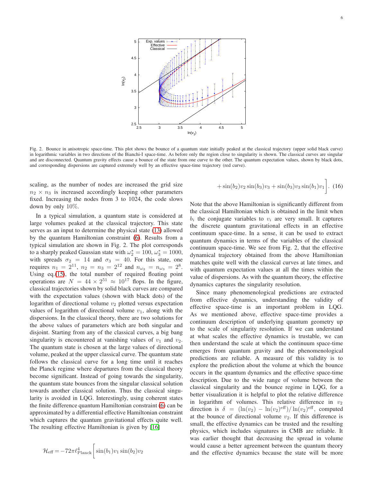

Fig. 2. Bounce in anisotropic space-time. This plot shows the bounce of a quantum state initially peaked at the classical trajectory (upper solid black curve) in logarithmic variables in two directions of the Bianchi-I space-time. As before only the region close to singularity is shown. The classical curves are singular and are disconnected. Quantum gravity effects cause a bounce of the state from one curve to the other. The quantum expectation values, shown by black dots, and corresponding dispersions are captured extremely well by an effective space-time trajectory (red curve).

scaling, as the number of nodes are increased the grid size  $n_2 \times n_3$  is increased accordingly keeping other parameters fixed. Increasing the nodes from 3 to 1024, the code slows down by only 10%.

In a typical simulation, a quantum state is considered at large volumes peaked at the classical trajectory. This state serves as an input to determine the physical state [\(13\)](#page-5-0) allowed by the quantum Hamiltonian constraint [\(6\)](#page-5-1). Results from a typical simulation are shown in Fig. 2. The plot corresponds to a sharply peaked Gaussian state with  $\omega_2^* = 100, \omega_3^* = 1000$ , with spreads  $\sigma_2 = 14$  and  $\sigma_3 = 40$ . For this state, one requires  $n_1 = 2^{11}$ ,  $n_2 = n_3 = 2^{12}$  and  $n_{\omega_2} = n_{\omega_3} = 2^8$ . Using eq.[\(15\)](#page-5-2), the total number of required floating point operations are  $N = 44 \times 2^{51} \approx 10^{17}$  flops. In the figure, classical trajectories shown by solid black curves are compared with the expectation values (shown with black dots) of the logarithm of directional volume  $v_2$  plotted versus expectation values of logarithm of directional volume  $v_1$ , along with the dispersions. In the classical theory, there are two solutions for the above values of parameters which are both singular and disjoint. Starting from any of the classical curves, a big bang singularity is encountered at vanishing values of  $v_1$  and  $v_2$ . The quantum state is chosen at the large values of directional volume, peaked at the upper classical curve. The quantum state follows the classical curve for a long time until it reaches the Planck regime where departures from the classical theory become significant. Instead of going towards the singularity, the quantum state bounces from the singular classical solution towards another classical solution. Thus the classical singularity is avoided in LQG. Interestingly, using coherent states the finite difference quantum Hamiltonian constraint [\(6\)](#page-5-1) can be approximated by a differential effective Hamiltonian constraint which captures the quantum gravitational effects quite well. The resulting effective Hamiltonian is given by [\[16\]](#page-8-15)

$$
\mathcal{H}_{\text{eff}} = -72\pi \ell_{\text{Planck}}^4 \bigg[ \sin(b_1) v_1 \sin(b_2) v_2
$$

$$
+\sin(b_2)v_2\sin(b_3)v_3+\sin(b_3)v_3\sin(b_1)v_1\bigg].\ (16)
$$

Note that the above Hamiltonian is significantly different from the classical Hamiltonian which is obtained in the limit when  $b_i$  the conjugate variables to  $v_i$  are very small. It captures the discrete quantum gravitational effects in an effective continuum space-time. In a sense, it can be used to extract quantum dynamics in terms of the variables of the classical continuum space-time. We see from Fig. 2, that the effective dynamical trajectory obtained from the above Hamiltonian matches quite well with the classical curves at late times, and with quantum expectation values at all the times within the value of dispersions. As with the quantum theory, the effective dynamics captures the singularity resolution.

Since many phenomenological predictions are extracted from effective dynamics, understanding the validity of effective space-time is an important problem in LQG. As we mentioned above, effective space-time provides a continuum description of underlying quantum geometry up to the scale of singularity resolution. If we can understand at what scales the effective dynamics is trustable, we can then understand the scale at which the continuum space-time emerges from quantum gravity and the phenomenological predictions are reliable. A measure of this validity is to explore the prediction about the volume at which the bounce occurs in the quantum dynamics and the effective space-time description. Due to the wide range of volume between the classical singularity and the bounce regime in LQG, for a better visualization it is helpful to plot the relative difference in logarithm of volumes. This relative difference in  $v_2$ direction is  $\delta = (\ln(v_2) - \ln(v_2)^{\text{eff}})/\ln(v_2)^{\text{eff}}$ , computed at the bounce of directional volume  $v_2$ . If this difference is small, the effective dynamics can be trusted and the resulting physics, which includes signatures in CMB are reliable. It was earlier thought that decreasing the spread in volume would cause a better agreement between the quantum theory and the effective dynamics because the state will be more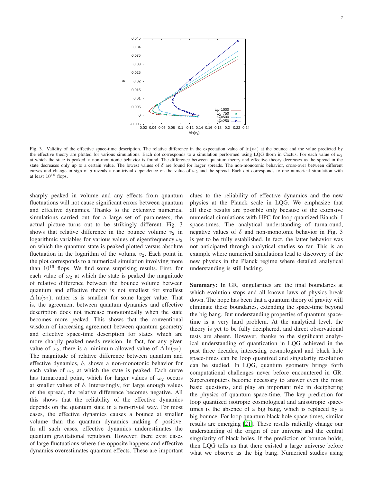

Fig. 3. Validity of the effective space-time description. The relative difference in the expectation value of  $ln(v_2)$  at the bounce and the value predicted by the effective theory are plotted for various simulations. Each dot corresponds to a simulation performed using LQG thorn in Cactus. For each value of  $\omega_2$ at which the state is peaked, a non-monotonic behavior is found. The difference between quantum theory and effective theory decreases as the spread in the state decreases only up to a certain value. The lowest values of  $\delta$  are found for larger spreads. The non-monotonic behavior, cross-over between different curves and change in sign of  $\delta$  reveals a non-trivial dependence on the value of  $\omega_2$  and the spread. Each dot corresponds to one numerical simulation with at least  $10^{16}$  flops.

sharply peaked in volume and any effects from quantum fluctuations will not cause significant errors between quantum and effective dynamics. Thanks to the extensive numerical simulations carried out for a large set of parameters, the actual picture turns out to be strikingly different. Fig. 3 shows that relative difference in the bounce volume  $v_2$  in logarithmic variables for various values of eigenfrequency  $\omega_2$ on which the quantum state is peaked plotted versus absolute fluctuation in the logarithm of the volume  $v_2$ . Each point in the plot corresponds to a numerical simulation involving more than  $10^{16}$  flops. We find some surprising results. First, for each value of  $\omega_2$  at which the state is peaked the magnitude of relative difference between the bounce volume between quantum and effective theory is not smallest for smallest  $\Delta \ln(v_2)$ , rather is is smallest for some larger value. That is, the agreement between quantum dynamics and effective description does not increase monotonically when the state becomes more peaked. This shows that the conventional wisdom of increasing agreement between quantum geometry and effective space-time description for states which are more sharply peaked needs revision. In fact, for any given value of  $\omega_2$ , there is a minimum allowed value of  $\Delta \ln(v_2)$ . The magnitude of relative difference between quantum and effective dynamics,  $\delta$ , shows a non-monotonic behavior for each value of  $\omega_2$  at which the state is peaked. Each curve has turnaround point, which for larger values of  $\omega_2$  occurs at smaller values of  $\delta$ . Interestingly, for large enough values of the spread, the relative difference becomes negative. All this shows that the reliability of the effective dynamics depends on the quantum state in a non-trivial way. For most cases, the effective dynamics causes a bounce at smaller volume than the quantum dynamics making  $\delta$  positive. In all such cases, effective dynamics underestimates the quantum gravitational repulsion. However, there exist cases of large fluctuations where the opposite happens and effective dynamics overestimates quantum effects. These are important clues to the reliability of effective dynamics and the new physics at the Planck scale in LQG. We emphasize that all these results are possible only because of the extensive numerical simulations with HPC for loop quantized Bianchi-I space-times. The analytical understanding of turnaround, negative values of  $\delta$  and non-monotonic behavior in Fig. 3 is yet to be fully established. In fact, the latter behavior was not anticipated through analytical studies so far. This is an example where numerical simulations lead to discovery of the new physics in the Planck regime where detailed analytical understanding is still lacking.

Summary: In GR, singularities are the final boundaries at which evolution stops and all known laws of physics break down. The hope has been that a quantum theory of gravity will eliminate these boundaries, extending the space-time beyond the big bang. But understanding properties of quantum spacetime is a very hard problem. At the analytical level, the theory is yet to be fully deciphered, and direct observational tests are absent. However, thanks to the significant analytical understanding of quantization in LQG achieved in the past three decades, interesting cosmological and black hole space-times can be loop quantized and singularity resolution can be studied. In LQG, quantum geometry brings forth computational challenges never before encountered in GR. Supercomputers become necessary to answer even the most basic questions, and play an important role in deciphering the physics of quantum space-time. The key prediction for loop quantized isotropic cosmological and anisotropic spacetimes is the absence of a big bang, which is replaced by a big bounce. For loop quantum black hole space-times, similar results are emerging [\[21\]](#page-8-20). These results radically change our understanding of the origin of our universe and the central singularity of black holes. If the prediction of bounce holds, then LQG tells us that there existed a large universe before what we observe as the big bang. Numerical studies using